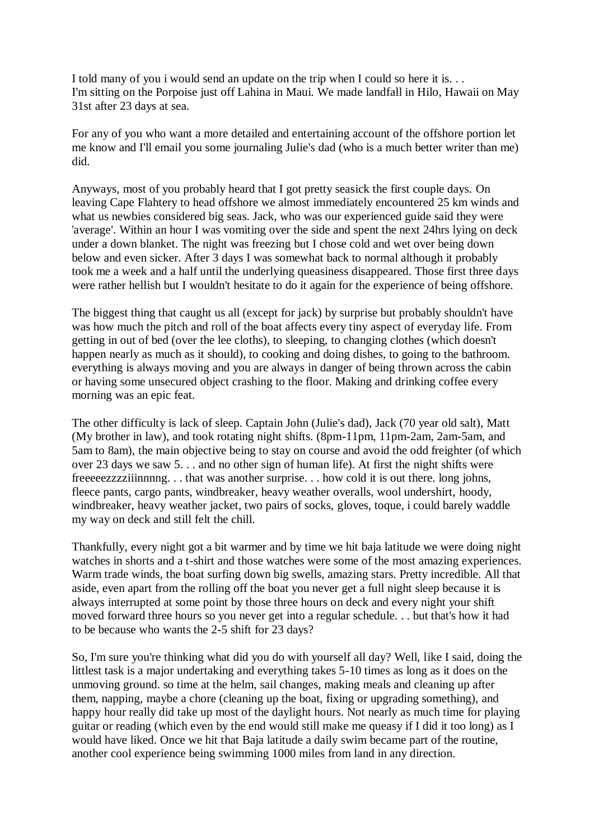I told many of you i would send an update on the trip when I could so here it is. . . I'm sitting on the Porpoise just off Lahina in Maui. We made landfall in Hilo, Hawaii on May 31st after 23 days at sea.

For any of you who want a more detailed and entertaining account of the offshore portion let me know and I'll email you some journaling Julie's dad (who is a much better writer than me) did.

Anyways, most of you probably heard that I got pretty seasick the first couple days. On leaving Cape Flahtery to head offshore we almost immediately encountered 25 km winds and what us newbies considered big seas. Jack, who was our experienced guide said they were 'average'. Within an hour I was vomiting over the side and spent the next 24hrs lying on deck under a down blanket. The night was freezing but I chose cold and wet over being down below and even sicker. After 3 days I was somewhat back to normal although it probably took me a week and a half until the underlying queasiness disappeared. Those first three days were rather hellish but I wouldn't hesitate to do it again for the experience of being offshore.

The biggest thing that caught us all (except for jack) by surprise but probably shouldn't have was how much the pitch and roll of the boat affects every tiny aspect of everyday life. From getting in out of bed (over the lee cloths), to sleeping, to changing clothes (which doesn't happen nearly as much as it should), to cooking and doing dishes, to going to the bathroom. everything is always moving and you are always in danger of being thrown across the cabin or having some unsecured object crashing to the floor. Making and drinking coffee every morning was an epic feat.

The other difficulty is lack of sleep. Captain John (Julie's dad), Jack (70 year old salt), Matt (My brother in law), and took rotating night shifts. (8pm-11pm, 11pm-2am, 2am-5am, and 5am to 8am), the main objective being to stay on course and avoid the odd freighter (of which over 23 days we saw 5. . . and no other sign of human life). At first the night shifts were freeeeezzzziiinnnng. . . that was another surprise. . . how cold it is out there. long johns, fleece pants, cargo pants, windbreaker, heavy weather overalls, wool undershirt, hoody, windbreaker, heavy weather jacket, two pairs of socks, gloves, toque, i could barely waddle my way on deck and still felt the chill.

Thankfully, every night got a bit warmer and by time we hit baja latitude we were doing night watches in shorts and a t-shirt and those watches were some of the most amazing experiences. Warm trade winds, the boat surfing down big swells, amazing stars. Pretty incredible. All that aside, even apart from the rolling off the boat you never get a full night sleep because it is always interrupted at some point by those three hours on deck and every night your shift moved forward three hours so you never get into a regular schedule. . . but that's how it had to be because who wants the 2-5 shift for 23 days?

So, I'm sure you're thinking what did you do with yourself all day? Well, like I said, doing the littlest task is a major undertaking and everything takes 5-10 times as long as it does on the unmoving ground. so time at the helm, sail changes, making meals and cleaning up after them, napping, maybe a chore (cleaning up the boat, fixing or upgrading something), and happy hour really did take up most of the daylight hours. Not nearly as much time for playing guitar or reading (which even by the end would still make me queasy if I did it too long) as I would have liked. Once we hit that Baja latitude a daily swim became part of the routine, another cool experience being swimming 1000 miles from land in any direction.